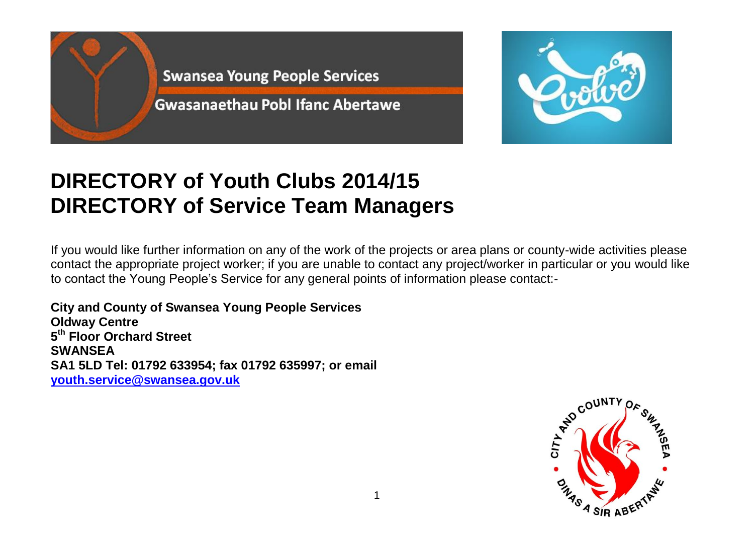



## **DIRECTORY of Youth Clubs 2014/15 DIRECTORY of Service Team Managers**

If you would like further information on any of the work of the projects or area plans or county-wide activities please contact the appropriate project worker; if you are unable to contact any project/worker in particular or you would like to contact the Young People's Service for any general points of information please contact:-

**City and County of Swansea Young People Services Oldway Centre 5 th Floor Orchard Street SWANSEA SA1 5LD Tel: 01792 633954; fax 01792 635997; or email [youth.service@swansea.gov.uk](mailto:youth.service@swansea.gov.uk)**

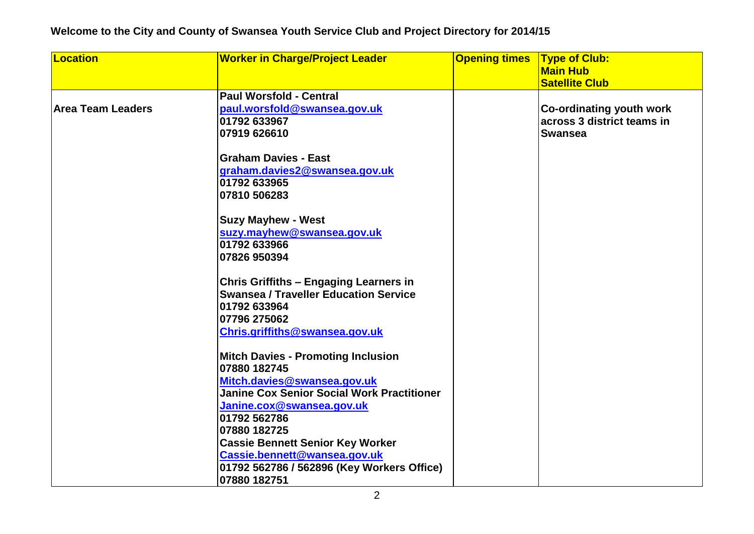## **Welcome to the City and County of Swansea Youth Service Club and Project Directory for 2014/15**

| Location                 | <b>Worker in Charge/Project Leader</b>            | <b>Opening times</b> | <b>Type of Club:</b>            |
|--------------------------|---------------------------------------------------|----------------------|---------------------------------|
|                          |                                                   |                      | <b>Main Hub</b>                 |
|                          |                                                   |                      | <b>Satellite Club</b>           |
|                          | <b>Paul Worsfold - Central</b>                    |                      |                                 |
| <b>Area Team Leaders</b> | paul.worsfold@swansea.gov.uk                      |                      | <b>Co-ordinating youth work</b> |
|                          | 01792 633967                                      |                      | across 3 district teams in      |
|                          | 07919 626610                                      |                      | <b>Swansea</b>                  |
|                          |                                                   |                      |                                 |
|                          | <b>Graham Davies - East</b>                       |                      |                                 |
|                          | graham.davies2@swansea.gov.uk                     |                      |                                 |
|                          | 01792 633965                                      |                      |                                 |
|                          | 07810 506283                                      |                      |                                 |
|                          |                                                   |                      |                                 |
|                          | <b>Suzy Mayhew - West</b>                         |                      |                                 |
|                          | suzy.mayhew@swansea.gov.uk                        |                      |                                 |
|                          | 01792 633966                                      |                      |                                 |
|                          | 07826 950394                                      |                      |                                 |
|                          |                                                   |                      |                                 |
|                          | <b>Chris Griffiths - Engaging Learners in</b>     |                      |                                 |
|                          | <b>Swansea / Traveller Education Service</b>      |                      |                                 |
|                          | 01792 633964                                      |                      |                                 |
|                          | 07796 275062                                      |                      |                                 |
|                          | Chris.griffiths@swansea.gov.uk                    |                      |                                 |
|                          |                                                   |                      |                                 |
|                          | <b>Mitch Davies - Promoting Inclusion</b>         |                      |                                 |
|                          | 07880 182745                                      |                      |                                 |
|                          | Mitch.davies@swansea.gov.uk                       |                      |                                 |
|                          | <b>Janine Cox Senior Social Work Practitioner</b> |                      |                                 |
|                          | Janine.cox@swansea.gov.uk                         |                      |                                 |
|                          | 01792 562786                                      |                      |                                 |
|                          | 07880 182725                                      |                      |                                 |
|                          | <b>Cassie Bennett Senior Key Worker</b>           |                      |                                 |
|                          | Cassie.bennett@wansea.gov.uk                      |                      |                                 |
|                          | 01792 562786 / 562896 (Key Workers Office)        |                      |                                 |
|                          | 07880 182751                                      |                      |                                 |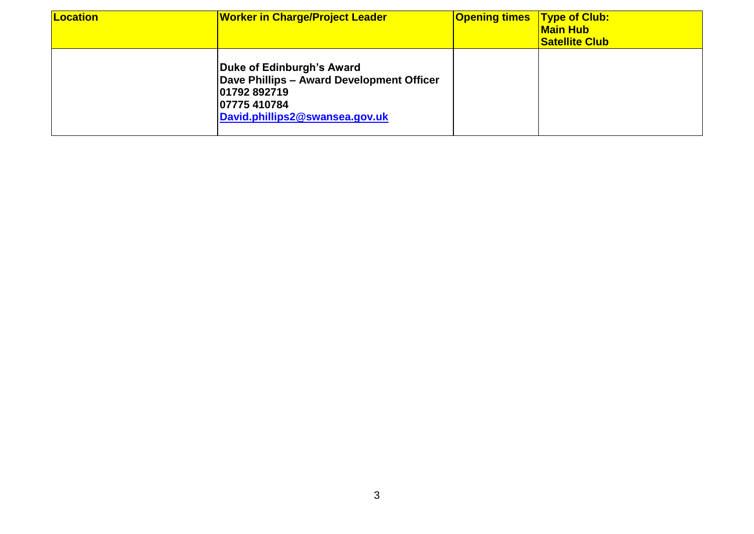| Location | <b>Worker in Charge/Project Leader</b>                                                                                                   | <b>Opening times</b> | <b>Type of Club:</b><br><b>Main Hub</b><br><b>Satellite Club</b> |
|----------|------------------------------------------------------------------------------------------------------------------------------------------|----------------------|------------------------------------------------------------------|
|          | Duke of Edinburgh's Award<br>Dave Phillips - Award Development Officer<br>01792 892719<br>07775 410784<br>David.phillips2@swansea.gov.uk |                      |                                                                  |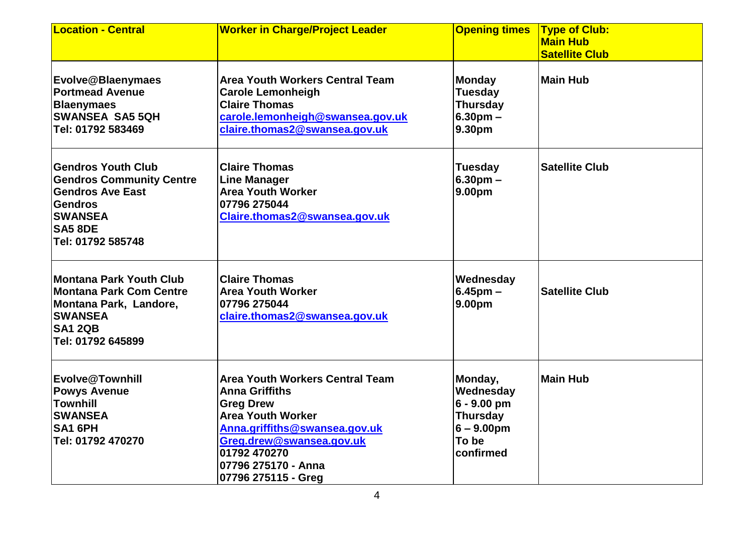| <b>Location - Central</b>                                                                                                                                          | <b>Worker in Charge/Project Leader</b>                                                                                                                                                                                                     | <b>Opening times</b>                                                                            | <b>Type of Club:</b><br><b>Main Hub</b><br><b>Satellite Club</b> |
|--------------------------------------------------------------------------------------------------------------------------------------------------------------------|--------------------------------------------------------------------------------------------------------------------------------------------------------------------------------------------------------------------------------------------|-------------------------------------------------------------------------------------------------|------------------------------------------------------------------|
| Evolve@Blaenymaes<br><b>Portmead Avenue</b><br><b>Blaenymaes</b><br><b>SWANSEA SA5 5QH</b><br>Tel: 01792 583469                                                    | <b>Area Youth Workers Central Team</b><br><b>Carole Lemonheigh</b><br><b>Claire Thomas</b><br>carole.lemonheigh@swansea.gov.uk<br>claire.thomas2@swansea.gov.uk                                                                            | <b>Monday</b><br><b>Tuesday</b><br><b>Thursday</b><br>6.30 <sub>pm</sub><br>9.30pm              | Main Hub                                                         |
| <b>Gendros Youth Club</b><br><b>Gendros Community Centre</b><br><b>Gendros Ave East</b><br><b>Gendros</b><br><b>SWANSEA</b><br><b>SA5 8DE</b><br>Tel: 01792 585748 | <b>Claire Thomas</b><br><b>Line Manager</b><br><b>Area Youth Worker</b><br>07796 275044<br>Claire.thomas2@swansea.gov.uk                                                                                                                   | <b>Tuesday</b><br>6.30 <sub>pm</sub><br>9.00pm                                                  | <b>Satellite Club</b>                                            |
| <b>Montana Park Youth Club</b><br><b>Montana Park Com Centre</b><br>Montana Park, Landore,<br><b>SWANSEA</b><br><b>SA1 2QB</b><br>Tel: 01792 645899                | <b>Claire Thomas</b><br><b>Area Youth Worker</b><br>07796 275044<br>claire.thomas2@swansea.gov.uk                                                                                                                                          | Wednesday<br>$6.45$ pm $-$<br>9.00pm                                                            | <b>Satellite Club</b>                                            |
| Evolve@Townhill<br><b>Powys Avenue</b><br><b>Townhill</b><br><b>SWANSEA</b><br>SA1 6PH<br>Tel: 01792 470270                                                        | <b>Area Youth Workers Central Team</b><br><b>Anna Griffiths</b><br><b>Greg Drew</b><br><b>Area Youth Worker</b><br>Anna.griffiths@swansea.gov.uk<br>Greg.drew@swansea.gov.uk<br>01792 470270<br>07796 275170 - Anna<br>07796 275115 - Greg | Monday,<br>Wednesday<br>$6 - 9.00$ pm<br><b>Thursday</b><br>$6 - 9.00$ pm<br>To be<br>confirmed | Main Hub                                                         |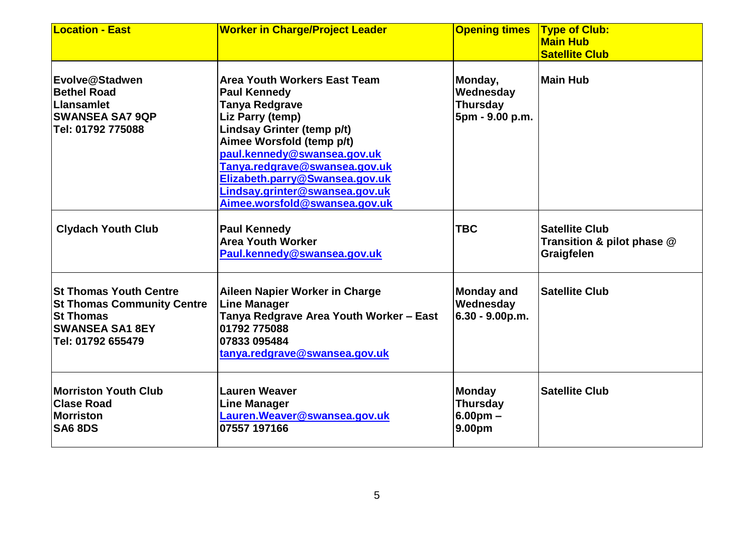| <b>Location - East</b>                                                                                                                | <b>Worker in Charge/Project Leader</b>                                                                                                                                                                                                                                                                                                         | <b>Opening times</b>                                       | <b>Type of Club:</b><br><b>Main Hub</b><br><b>Satellite Club</b>  |
|---------------------------------------------------------------------------------------------------------------------------------------|------------------------------------------------------------------------------------------------------------------------------------------------------------------------------------------------------------------------------------------------------------------------------------------------------------------------------------------------|------------------------------------------------------------|-------------------------------------------------------------------|
| Evolve@Stadwen<br><b>Bethel Road</b><br>Llansamlet<br><b>SWANSEA SA7 9QP</b><br>Tel: 01792 775088                                     | <b>Area Youth Workers East Team</b><br><b>Paul Kennedy</b><br><b>Tanya Redgrave</b><br><b>Liz Parry (temp)</b><br>Lindsay Grinter (temp p/t)<br>Aimee Worsfold (temp p/t)<br>paul.kennedy@swansea.gov.uk<br>Tanya.redgrave@swansea.gov.uk<br>Elizabeth.parry@Swansea.gov.uk<br>Lindsay.grinter@swansea.gov.uk<br>Aimee.worsfold@swansea.gov.uk | Monday,<br>Wednesday<br><b>Thursday</b><br>5pm - 9.00 p.m. | Main Hub                                                          |
| <b>Clydach Youth Club</b>                                                                                                             | <b>Paul Kennedy</b><br><b>Area Youth Worker</b><br>Paul.kennedy@swansea.gov.uk                                                                                                                                                                                                                                                                 | <b>TBC</b>                                                 | <b>Satellite Club</b><br>Transition & pilot phase @<br>Graigfelen |
| <b>St Thomas Youth Centre</b><br><b>St Thomas Community Centre</b><br><b>St Thomas</b><br><b>SWANSEA SA1 8EY</b><br>Tel: 01792 655479 | Aileen Napier Worker in Charge<br><b>Line Manager</b><br>Tanya Redgrave Area Youth Worker - East<br>01792 775088<br>07833 095484<br>tanya.redgrave@swansea.gov.uk                                                                                                                                                                              | <b>Monday and</b><br>Wednesday<br>$6.30 - 9.00 p.m.$       | <b>Satellite Club</b>                                             |
| <b>Morriston Youth Club</b><br><b>Clase Road</b><br>Morriston<br><b>SA6 8DS</b>                                                       | <b>Lauren Weaver</b><br><b>Line Manager</b><br>Lauren. Weaver@swansea.gov.uk<br>07557 197166                                                                                                                                                                                                                                                   | <b>Monday</b><br><b>Thursday</b><br>$6.00pm -$<br>9.00pm   | <b>Satellite Club</b>                                             |